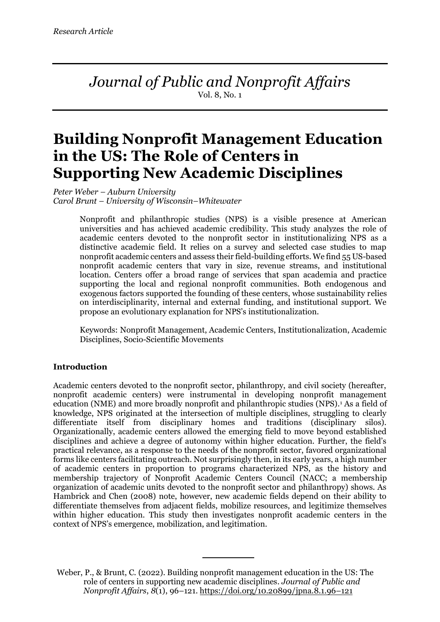*Journal of Public and Nonprofit Affairs* Vol. 8, No. 1

# **Building Nonprofit Management Education in the US: The Role of Centers in Supporting New Academic Disciplines**

*Peter Weber – Auburn University Carol Brunt – University of Wisconsin–Whitewater*

> Nonprofit and philanthropic studies (NPS) is a visible presence at American universities and has achieved academic credibility. This study analyzes the role of academic centers devoted to the nonprofit sector in institutionalizing NPS as a distinctive academic field. It relies on a survey and selected case studies to map nonprofit academic centers and assess their field-building efforts. We find 55 US-based nonprofit academic centers that vary in size, revenue streams, and institutional location. Centers offer a broad range of services that span academia and practice supporting the local and regional nonprofit communities. Both endogenous and exogenous factors supported the founding of these centers, whose sustainability relies on interdisciplinarity, internal and external funding, and institutional support. We propose an evolutionary explanation for NPS's institutionalization.

> Keywords: Nonprofit Management, Academic Centers, Institutionalization, Academic Disciplines, Socio-Scientific Movements

# **Introduction**

Academic centers devoted to the nonprofit sector, philanthropy, and civil society (hereafter, nonprofit academic centers) were instrumental in developing nonprofit management education (NME) and more broadly nonprofit and philanthropic studies (NPS).<sup>1</sup> As a field of knowledge, NPS originated at the intersection of multiple disciplines, struggling to clearly differentiate itself from disciplinary homes and traditions (disciplinary silos). Organizationally, academic centers allowed the emerging field to move beyond established disciplines and achieve a degree of autonomy within higher education. Further, the field's practical relevance, as a response to the needs of the nonprofit sector, favored organizational forms like centers facilitating outreach. Not surprisingly then, in its early years, a high number of academic centers in proportion to programs characterized NPS, as the history and membership trajectory of Nonprofit Academic Centers Council (NACC; a membership organization of academic units devoted to the nonprofit sector and philanthropy) shows. As Hambrick and Chen (2008) note, however, new academic fields depend on their ability to differentiate themselves from adjacent fields, mobilize resources, and legitimize themselves within higher education. This study then investigates nonprofit academic centers in the context of NPS's emergence, mobilization, and legitimation.

Weber, P., & Brunt, C. (2022). Building nonprofit management education in the US: The role of centers in supporting new academic disciplines. *Journal of Public and Nonprofit Affairs*, *8*(1), 96–121. https://doi.org/10.20899/jpna.8.1.96–121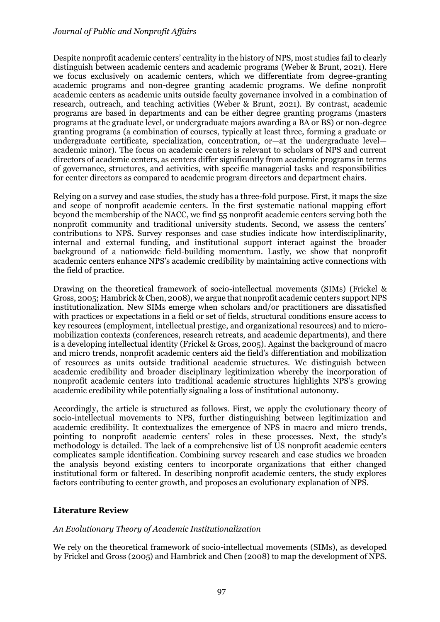# *Journal of Public and Nonprofit Affairs*

Despite nonprofit academic centers' centrality in the history of NPS, most studies fail to clearly distinguish between academic centers and academic programs (Weber & Brunt, 2021). Here we focus exclusively on academic centers, which we differentiate from degree-granting academic programs and non-degree granting academic programs. We define nonprofit academic centers as academic units outside faculty governance involved in a combination of research, outreach, and teaching activities (Weber & Brunt, 2021). By contrast, academic programs are based in departments and can be either degree granting programs (masters programs at the graduate level, or undergraduate majors awarding a BA or BS) or non-degree granting programs (a combination of courses, typically at least three, forming a graduate or undergraduate certificate, specialization, concentration, or—at the undergraduate level academic minor). The focus on academic centers is relevant to scholars of NPS and current directors of academic centers, as centers differ significantly from academic programs in terms of governance, structures, and activities, with specific managerial tasks and responsibilities for center directors as compared to academic program directors and department chairs.

Relying on a survey and case studies, the study has a three-fold purpose. First, it maps the size and scope of nonprofit academic centers. In the first systematic national mapping effort beyond the membership of the NACC, we find 55 nonprofit academic centers serving both the nonprofit community and traditional university students. Second, we assess the centers' contributions to NPS. Survey responses and case studies indicate how interdisciplinarity, internal and external funding, and institutional support interact against the broader background of a nationwide field-building momentum. Lastly, we show that nonprofit academic centers enhance NPS's academic credibility by maintaining active connections with the field of practice.

Drawing on the theoretical framework of socio-intellectual movements (SIMs) (Frickel & Gross, 2005; Hambrick & Chen, 2008), we argue that nonprofit academic centers support NPS institutionalization. New SIMs emerge when scholars and/or practitioners are dissatisfied with practices or expectations in a field or set of fields, structural conditions ensure access to key resources (employment, intellectual prestige, and organizational resources) and to micromobilization contexts (conferences, research retreats, and academic departments), and there is a developing intellectual identity (Frickel & Gross, 2005). Against the background of macro and micro trends, nonprofit academic centers aid the field's differentiation and mobilization of resources as units outside traditional academic structures. We distinguish between academic credibility and broader disciplinary legitimization whereby the incorporation of nonprofit academic centers into traditional academic structures highlights NPS's growing academic credibility while potentially signaling a loss of institutional autonomy.

Accordingly, the article is structured as follows. First, we apply the evolutionary theory of socio-intellectual movements to NPS, further distinguishing between legitimization and academic credibility. It contextualizes the emergence of NPS in macro and micro trends, pointing to nonprofit academic centers' roles in these processes. Next, the study's methodology is detailed. The lack of a comprehensive list of US nonprofit academic centers complicates sample identification. Combining survey research and case studies we broaden the analysis beyond existing centers to incorporate organizations that either changed institutional form or faltered. In describing nonprofit academic centers, the study explores factors contributing to center growth, and proposes an evolutionary explanation of NPS.

# **Literature Review**

# *An Evolutionary Theory of Academic Institutionalization*

We rely on the theoretical framework of socio-intellectual movements (SIMs), as developed by Frickel and Gross (2005) and Hambrick and Chen (2008) to map the development of NPS.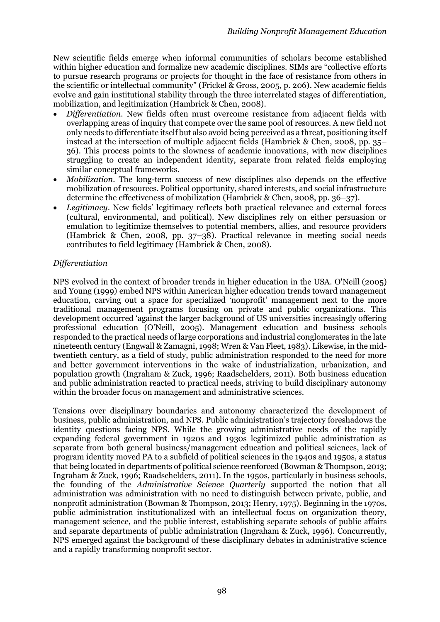New scientific fields emerge when informal communities of scholars become established within higher education and formalize new academic disciplines. SIMs are "collective efforts to pursue research programs or projects for thought in the face of resistance from others in the scientific or intellectual community" (Frickel & Gross, 2005, p. 206). New academic fields evolve and gain institutional stability through the three interrelated stages of differentiation, mobilization, and legitimization (Hambrick & Chen, 2008).

- *Differentiation*. New fields often must overcome resistance from adjacent fields with overlapping areas of inquiry that compete over the same pool of resources. A new field not only needs to differentiate itself but also avoid being perceived as a threat, positioning itself instead at the intersection of multiple adjacent fields (Hambrick & Chen, 2008, pp. 35– 36). This process points to the slowness of academic innovations, with new disciplines struggling to create an independent identity, separate from related fields employing similar conceptual frameworks.
- *Mobilization*. The long-term success of new disciplines also depends on the effective mobilization of resources. Political opportunity, shared interests, and social infrastructure determine the effectiveness of mobilization (Hambrick & Chen, 2008, pp. 36–37).
- *Legitimacy*. New fields' legitimacy reflects both practical relevance and external forces (cultural, environmental, and political). New disciplines rely on either persuasion or emulation to legitimize themselves to potential members, allies, and resource providers (Hambrick & Chen, 2008, pp. 37–38). Practical relevance in meeting social needs contributes to field legitimacy (Hambrick & Chen, 2008).

# *Differentiation*

NPS evolved in the context of broader trends in higher education in the USA. O'Neill (2005) and Young (1999) embed NPS within American higher education trends toward management education, carving out a space for specialized 'nonprofit' management next to the more traditional management programs focusing on private and public organizations. This development occurred 'against the larger background of US universities increasingly offering professional education (O'Neill, 2005). Management education and business schools responded to the practical needs of large corporations and industrial conglomerates in the late nineteenth century (Engwall & Zamagni, 1998; Wren & Van Fleet, 1983). Likewise, in the midtwentieth century, as a field of study, public administration responded to the need for more and better government interventions in the wake of industrialization, urbanization, and population growth (Ingraham & Zuck, 1996; Raadschelders, 2011). Both business education and public administration reacted to practical needs, striving to build disciplinary autonomy within the broader focus on management and administrative sciences.

Tensions over disciplinary boundaries and autonomy characterized the development of business, public administration, and NPS. Public administration's trajectory foreshadows the identity questions facing NPS. While the growing administrative needs of the rapidly expanding federal government in 1920s and 1930s legitimized public administration as separate from both general business/management education and political sciences, lack of program identity moved PA to a subfield of political sciences in the 1940s and 1950s, a status that being located in departments of political science reenforced (Bowman & Thompson, 2013; Ingraham & Zuck, 1996; Raadschelders, 2011). In the 1950s, particularly in business schools, the founding of the *Administrative Science Quarterly* supported the notion that all administration was administration with no need to distinguish between private, public, and nonprofit administration (Bowman & Thompson, 2013; Henry, 1975). Beginning in the 1970s, public administration institutionalized with an intellectual focus on organization theory, management science, and the public interest, establishing separate schools of public affairs and separate departments of public administration (Ingraham & Zuck, 1996). Concurrently, NPS emerged against the background of these disciplinary debates in administrative science and a rapidly transforming nonprofit sector.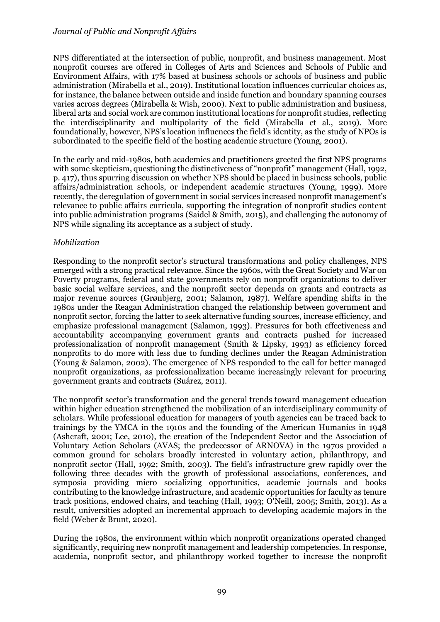# *Journal of Public and Nonprofit Affairs*

NPS differentiated at the intersection of public, nonprofit, and business management. Most nonprofit courses are offered in Colleges of Arts and Sciences and Schools of Public and Environment Affairs, with 17% based at business schools or schools of business and public administration (Mirabella et al., 2019). Institutional location influences curricular choices as, for instance, the balance between outside and inside function and boundary spanning courses varies across degrees (Mirabella & Wish, 2000). Next to public administration and business, liberal arts and social work are common institutional locations for nonprofit studies, reflecting the interdisciplinarity and multipolarity of the field (Mirabella et al., 2019). More foundationally, however, NPS's location influences the field's identity, as the study of NPOs is subordinated to the specific field of the hosting academic structure (Young, 2001).

In the early and mid-1980s, both academics and practitioners greeted the first NPS programs with some skepticism, questioning the distinctiveness of "nonprofit" management (Hall, 1992, p. 417), thus spurring discussion on whether NPS should be placed in business schools, public affairs/administration schools, or independent academic structures (Young, 1999). More recently, the deregulation of government in social services increased nonprofit management's relevance to public affairs curricula, supporting the integration of nonprofit studies content into public administration programs (Saidel & Smith, 2015), and challenging the autonomy of NPS while signaling its acceptance as a subject of study.

# *Mobilization*

Responding to the nonprofit sector's structural transformations and policy challenges, NPS emerged with a strong practical relevance. Since the 1960s, with the Great Society and War on Poverty programs, federal and state governments rely on nonprofit organizations to deliver basic social welfare services, and the nonprofit sector depends on grants and contracts as major revenue sources (Grønbjerg, 2001; Salamon, 1987). Welfare spending shifts in the 1980s under the Reagan Administration changed the relationship between government and nonprofit sector, forcing the latter to seek alternative funding sources, increase efficiency, and emphasize professional management (Salamon, 1993). Pressures for both effectiveness and accountability accompanying government grants and contracts pushed for increased professionalization of nonprofit management (Smith & Lipsky, 1993) as efficiency forced nonprofits to do more with less due to funding declines under the Reagan Administration (Young & Salamon, 2002). The emergence of NPS responded to the call for better managed nonprofit organizations, as professionalization became increasingly relevant for procuring government grants and contracts (Suárez, 2011).

The nonprofit sector's transformation and the general trends toward management education within higher education strengthened the mobilization of an interdisciplinary community of scholars. While professional education for managers of youth agencies can be traced back to trainings by the YMCA in the 1910s and the founding of the American Humanics in 1948 (Ashcraft, 2001; Lee, 2010), the creation of the Independent Sector and the Association of Voluntary Action Scholars (AVAS; the predecessor of ARNOVA) in the 1970s provided a common ground for scholars broadly interested in voluntary action, philanthropy, and nonprofit sector (Hall, 1992; Smith, 2003). The field's infrastructure grew rapidly over the following three decades with the growth of professional associations, conferences, and symposia providing micro socializing opportunities, academic journals and books contributing to the knowledge infrastructure, and academic opportunities for faculty as tenure track positions, endowed chairs, and teaching (Hall, 1993; O'Neill, 2005; Smith, 2013). As a result, universities adopted an incremental approach to developing academic majors in the field (Weber & Brunt, 2020).

During the 1980s, the environment within which nonprofit organizations operated changed significantly, requiring new nonprofit management and leadership competencies. In response, academia, nonprofit sector, and philanthropy worked together to increase the nonprofit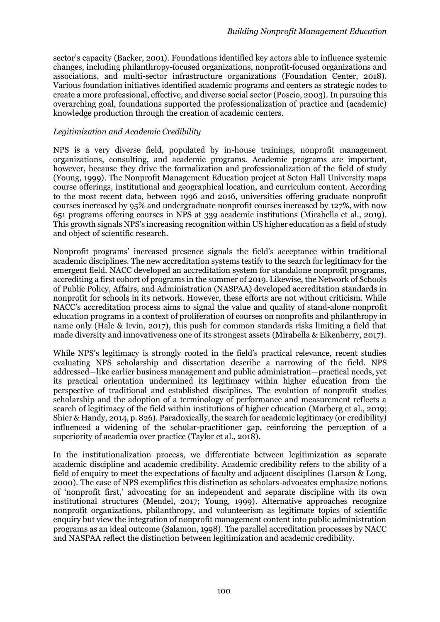sector's capacity (Backer, 2001). Foundations identified key actors able to influence systemic changes, including philanthropy-focused organizations, nonprofit-focused organizations and associations, and multi-sector infrastructure organizations (Foundation Center, 2018). Various foundation initiatives identified academic programs and centers as strategic nodes to create a more professional, effective, and diverse social sector (Poscio, 2003). In pursuing this overarching goal, foundations supported the professionalization of practice and (academic) knowledge production through the creation of academic centers.

# *Legitimization and Academic Credibility*

NPS is a very diverse field, populated by in-house trainings, nonprofit management organizations, consulting, and academic programs. Academic programs are important, however, because they drive the formalization and professionalization of the field of study (Young, 1999). The Nonprofit Management Education project at Seton Hall University maps course offerings, institutional and geographical location, and curriculum content. According to the most recent data, between 1996 and 2016, universities offering graduate nonprofit courses increased by 95% and undergraduate nonprofit courses increased by 127%, with now 651 programs offering courses in NPS at 339 academic institutions (Mirabella et al., 2019). This growth signals NPS's increasing recognition within US higher education as a field of study and object of scientific research.

Nonprofit programs' increased presence signals the field's acceptance within traditional academic disciplines. The new accreditation systems testify to the search for legitimacy for the emergent field. NACC developed an accreditation system for standalone nonprofit programs, accrediting a first cohort of programs in the summer of 2019. Likewise, the Network of Schools of Public Policy, Affairs, and Administration (NASPAA) developed accreditation standards in nonprofit for schools in its network. However, these efforts are not without criticism. While NACC's accreditation process aims to signal the value and quality of stand-alone nonprofit education programs in a context of proliferation of courses on nonprofits and philanthropy in name only (Hale & Irvin, 2017), this push for common standards risks limiting a field that made diversity and innovativeness one of its strongest assets (Mirabella & Eikenberry, 2017).

While NPS's legitimacy is strongly rooted in the field's practical relevance, recent studies evaluating NPS scholarship and dissertation describe a narrowing of the field. NPS addressed—like earlier business management and public administration—practical needs, yet its practical orientation undermined its legitimacy within higher education from the perspective of traditional and established disciplines. The evolution of nonprofit studies scholarship and the adoption of a terminology of performance and measurement reflects a search of legitimacy of the field within institutions of higher education (Marberg et al., 2019; Shier & Handy, 2014, p. 826). Paradoxically, the search for academic legitimacy (or credibility) influenced a widening of the scholar-practitioner gap, reinforcing the perception of a superiority of academia over practice (Taylor et al., 2018).

In the institutionalization process, we differentiate between legitimization as separate academic discipline and academic credibility. Academic credibility refers to the ability of a field of enquiry to meet the expectations of faculty and adjacent disciplines (Larson & Long, 2000). The case of NPS exemplifies this distinction as scholars-advocates emphasize notions of 'nonprofit first,' advocating for an independent and separate discipline with its own institutional structures (Mendel, 2017; Young, 1999). Alternative approaches recognize nonprofit organizations, philanthropy, and volunteerism as legitimate topics of scientific enquiry but view the integration of nonprofit management content into public administration programs as an ideal outcome (Salamon, 1998). The parallel accreditation processes by NACC and NASPAA reflect the distinction between legitimization and academic credibility.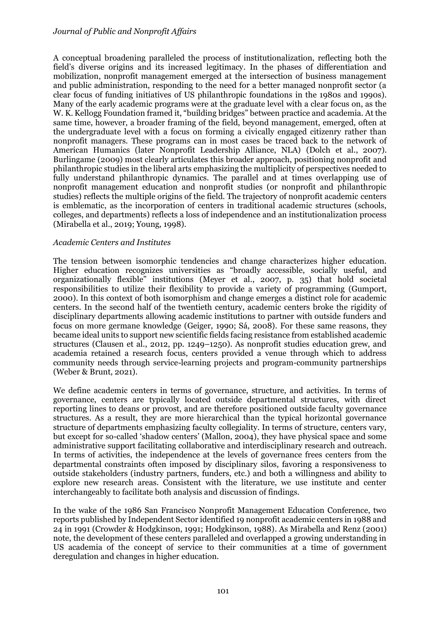A conceptual broadening paralleled the process of institutionalization, reflecting both the field's diverse origins and its increased legitimacy. In the phases of differentiation and mobilization, nonprofit management emerged at the intersection of business management and public administration, responding to the need for a better managed nonprofit sector (a clear focus of funding initiatives of US philanthropic foundations in the 1980s and 1990s). Many of the early academic programs were at the graduate level with a clear focus on, as the W. K. Kellogg Foundation framed it, "building bridges" between practice and academia. At the same time, however, a broader framing of the field, beyond management, emerged, often at the undergraduate level with a focus on forming a civically engaged citizenry rather than nonprofit managers. These programs can in most cases be traced back to the network of American Humanics (later Nonprofit Leadership Alliance, NLA) (Dolch et al., 2007). Burlingame (2009) most clearly articulates this broader approach, positioning nonprofit and philanthropic studies in the liberal arts emphasizing the multiplicity of perspectives needed to fully understand philanthropic dynamics. The parallel and at times overlapping use of nonprofit management education and nonprofit studies (or nonprofit and philanthropic studies) reflects the multiple origins of the field. The trajectory of nonprofit academic centers is emblematic, as the incorporation of centers in traditional academic structures (schools, colleges, and departments) reflects a loss of independence and an institutionalization process (Mirabella et al., 2019; Young, 1998).

# *Academic Centers and Institutes*

The tension between isomorphic tendencies and change characterizes higher education. Higher education recognizes universities as "broadly accessible, socially useful, and organizationally flexible" institutions (Meyer et al., 2007, p. 35) that hold societal responsibilities to utilize their flexibility to provide a variety of programming (Gumport, 2000). In this context of both isomorphism and change emerges a distinct role for academic centers. In the second half of the twentieth century, academic centers broke the rigidity of disciplinary departments allowing academic institutions to partner with outside funders and focus on more germane knowledge (Geiger, 1990; Sá, 2008). For these same reasons, they became ideal units to support new scientific fields facing resistance from established academic structures (Clausen et al., 2012, pp. 1249–1250). As nonprofit studies education grew, and academia retained a research focus, centers provided a venue through which to address community needs through service-learning projects and program-community partnerships (Weber & Brunt, 2021).

We define academic centers in terms of governance, structure, and activities. In terms of governance, centers are typically located outside departmental structures, with direct reporting lines to deans or provost, and are therefore positioned outside faculty governance structures. As a result, they are more hierarchical than the typical horizontal governance structure of departments emphasizing faculty collegiality. In terms of structure, centers vary, but except for so-called 'shadow centers' (Mallon, 2004), they have physical space and some administrative support facilitating collaborative and interdisciplinary research and outreach. In terms of activities, the independence at the levels of governance frees centers from the departmental constraints often imposed by disciplinary silos, favoring a responsiveness to outside stakeholders (industry partners, funders, etc.) and both a willingness and ability to explore new research areas. Consistent with the literature, we use institute and center interchangeably to facilitate both analysis and discussion of findings.

In the wake of the 1986 San Francisco Nonprofit Management Education Conference, two reports published by Independent Sector identified 19 nonprofit academic centers in 1988 and 24 in 1991 (Crowder & Hodgkinson, 1991; Hodgkinson, 1988). As Mirabella and Renz (2001) note, the development of these centers paralleled and overlapped a growing understanding in US academia of the concept of service to their communities at a time of government deregulation and changes in higher education.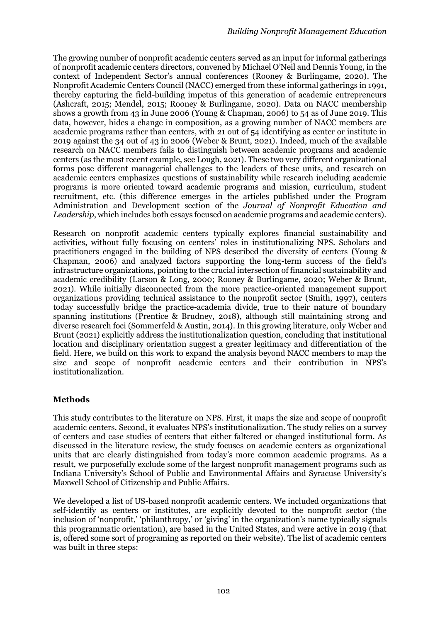The growing number of nonprofit academic centers served as an input for informal gatherings of nonprofit academic centers directors, convened by Michael O'Neil and Dennis Young, in the context of Independent Sector's annual conferences (Rooney & Burlingame, 2020). The Nonprofit Academic Centers Council (NACC) emerged from these informal gatherings in 1991, thereby capturing the field-building impetus of this generation of academic entrepreneurs (Ashcraft, 2015; Mendel, 2015; Rooney & Burlingame, 2020). Data on NACC membership shows a growth from 43 in June 2006 (Young & Chapman, 2006) to 54 as of June 2019. This data, however, hides a change in composition, as a growing number of NACC members are academic programs rather than centers, with 21 out of 54 identifying as center or institute in 2019 against the 34 out of 43 in 2006 (Weber & Brunt, 2021). Indeed, much of the available research on NACC members fails to distinguish between academic programs and academic centers (as the most recent example, see Lough, 2021). These two very different organizational forms pose different managerial challenges to the leaders of these units, and research on academic centers emphasizes questions of sustainability while research including academic programs is more oriented toward academic programs and mission, curriculum, student recruitment, etc. (this difference emerges in the articles published under the Program Administration and Development section of the *Journal of Nonprofit Education and Leadership*, which includes both essays focused on academic programs and academic centers).

Research on nonprofit academic centers typically explores financial sustainability and activities, without fully focusing on centers' roles in institutionalizing NPS. Scholars and practitioners engaged in the building of NPS described the diversity of centers (Young & Chapman, 2006) and analyzed factors supporting the long-term success of the field's infrastructure organizations, pointing to the crucial intersection of financial sustainability and academic credibility (Larson & Long, 2000; Rooney & Burlingame, 2020; Weber & Brunt, 2021). While initially disconnected from the more practice-oriented management support organizations providing technical assistance to the nonprofit sector (Smith, 1997), centers today successfully bridge the practice-academia divide, true to their nature of boundary spanning institutions (Prentice & Brudney, 2018), although still maintaining strong and diverse research foci (Sommerfeld & Austin, 2014). In this growing literature, only Weber and Brunt (2021) explicitly address the institutionalization question, concluding that institutional location and disciplinary orientation suggest a greater legitimacy and differentiation of the field. Here, we build on this work to expand the analysis beyond NACC members to map the size and scope of nonprofit academic centers and their contribution in NPS's institutionalization.

# **Methods**

This study contributes to the literature on NPS. First, it maps the size and scope of nonprofit academic centers. Second, it evaluates NPS's institutionalization. The study relies on a survey of centers and case studies of centers that either faltered or changed institutional form. As discussed in the literature review, the study focuses on academic centers as organizational units that are clearly distinguished from today's more common academic programs. As a result, we purposefully exclude some of the largest nonprofit management programs such as Indiana University's School of Public and Environmental Affairs and Syracuse University's Maxwell School of Citizenship and Public Affairs.

We developed a list of US-based nonprofit academic centers. We included organizations that self-identify as centers or institutes, are explicitly devoted to the nonprofit sector (the inclusion of 'nonprofit,' 'philanthropy,' or 'giving' in the organization's name typically signals this programmatic orientation), are based in the United States, and were active in 2019 (that is, offered some sort of programing as reported on their website). The list of academic centers was built in three steps: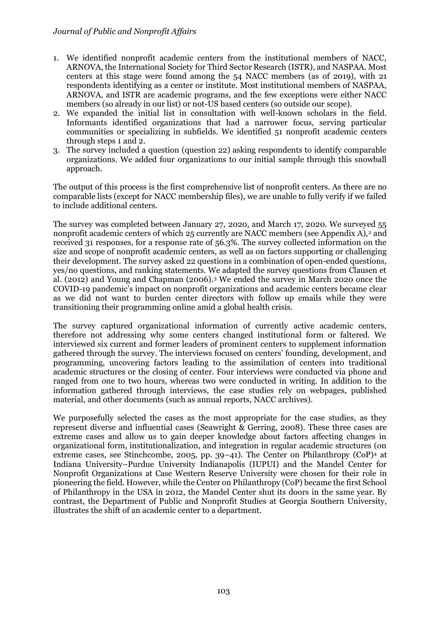- 1. We identified nonprofit academic centers from the institutional members of NACC, ARNOVA, the International Society for Third Sector Research (ISTR), and NASPAA. Most centers at this stage were found among the 54 NACC members (as of 2019), with 21 respondents identifying as a center or institute. Most institutional members of NASPAA, ARNOVA, and ISTR are academic programs, and the few exceptions were either NACC members (so already in our list) or not-US based centers (so outside our scope).
- 2. We expanded the initial list in consultation with well-known scholars in the field. Informants identified organizations that had a narrower focus, serving particular communities or specializing in subfields. We identified 51 nonprofit academic centers through steps 1 and 2.
- 3. The survey included a question (question 22) asking respondents to identify comparable organizations. We added four organizations to our initial sample through this snowball approach.

The output of this process is the first comprehensive list of nonprofit centers. As there are no comparable lists (except for NACC membership files), we are unable to fully verify if we failed to include additional centers.

The survey was completed between January 27, 2020, and March 17, 2020. We surveyed 55 nonprofit academic centers of which 25 currently are NACC members (see Appendix A),<sup>2</sup> and received 31 responses, for a response rate of 56.3%. The survey collected information on the size and scope of nonprofit academic centers, as well as on factors supporting or challenging their development. The survey asked 22 questions in a combination of open-ended questions, yes/no questions, and ranking statements. We adapted the survey questions from Clausen et al. (2012) and Young and Chapman (2006).<sup>3</sup> We ended the survey in March 2020 once the COVID-19 pandemic's impact on nonprofit organizations and academic centers became clear as we did not want to burden center directors with follow up emails while they were transitioning their programming online amid a global health crisis.

The survey captured organizational information of currently active academic centers, therefore not addressing why some centers changed institutional form or faltered. We interviewed six current and former leaders of prominent centers to supplement information gathered through the survey. The interviews focused on centers' founding, development, and programming, uncovering factors leading to the assimilation of centers into traditional academic structures or the closing of center. Four interviews were conducted via phone and ranged from one to two hours, whereas two were conducted in writing. In addition to the information gathered through interviews, the case studies rely on webpages, published material, and other documents (such as annual reports, NACC archives).

We purposefully selected the cases as the most appropriate for the case studies, as they represent diverse and influential cases (Seawright & Gerring, 2008). These three cases are extreme cases and allow us to gain deeper knowledge about factors affecting changes in organizational form, institutionalization, and integration in regular academic structures (on extreme cases, see Stinchcombe, 2005, pp. 39–41). The Center on Philanthropy (CoP)<sup>4</sup> at Indiana University–Purdue University Indianapolis (IUPUI) and the Mandel Center for Nonprofit Organizations at Case Western Reserve University were chosen for their role in pioneering the field. However, while the Center on Philanthropy (CoP) became the first School of Philanthropy in the USA in 2012, the Mandel Center shut its doors in the same year. By contrast, the Department of Public and Nonprofit Studies at Georgia Southern University, illustrates the shift of an academic center to a department.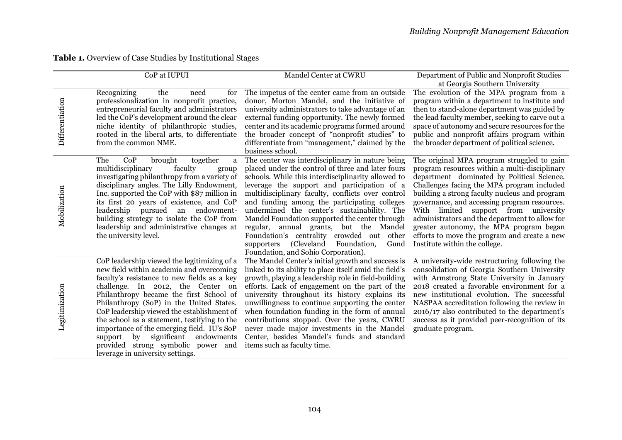| Table 1. Overview of Case Studies by Institutional Stages |  |
|-----------------------------------------------------------|--|
|-----------------------------------------------------------|--|

|                 | CoP at IUPUI                                                                                                                                                                                                                                                                                                                                                                                                                                                                                                                           | Mandel Center at CWRU                                                                                                                                                                                                                                                                                                                                                                                                                                                                                                                                                                             | Department of Public and Nonprofit Studies                                                                                                                                                                                                                                                                                                                                                                                                                                                                     |
|-----------------|----------------------------------------------------------------------------------------------------------------------------------------------------------------------------------------------------------------------------------------------------------------------------------------------------------------------------------------------------------------------------------------------------------------------------------------------------------------------------------------------------------------------------------------|---------------------------------------------------------------------------------------------------------------------------------------------------------------------------------------------------------------------------------------------------------------------------------------------------------------------------------------------------------------------------------------------------------------------------------------------------------------------------------------------------------------------------------------------------------------------------------------------------|----------------------------------------------------------------------------------------------------------------------------------------------------------------------------------------------------------------------------------------------------------------------------------------------------------------------------------------------------------------------------------------------------------------------------------------------------------------------------------------------------------------|
| Differentiation | Recognizing<br>the<br>need<br>for<br>professionalization in nonprofit practice,<br>entrepreneurial faculty and administrators<br>led the CoP's development around the clear<br>niche identity of philanthropic studies,<br>rooted in the liberal arts, to differentiate<br>from the common NME.                                                                                                                                                                                                                                        | The impetus of the center came from an outside<br>donor, Morton Mandel, and the initiative of<br>university administrators to take advantage of an<br>external funding opportunity. The newly formed<br>center and its academic programs formed around<br>the broader concept of "nonprofit studies" to<br>differentiate from "management," claimed by the<br>business school.                                                                                                                                                                                                                    | at Georgia Southern University<br>The evolution of the MPA program from a<br>program within a department to institute and<br>then to stand-alone department was guided by<br>the lead faculty member, seeking to carve out a<br>space of autonomy and secure resources for the<br>public and nonprofit affairs program within<br>the broader department of political science.                                                                                                                                  |
| Mobilization    | The<br>CoP<br>brought<br>together<br>a<br>multidisciplinary<br>faculty<br>group<br>investigating philanthropy from a variety of<br>disciplinary angles. The Lilly Endowment,<br>Inc. supported the CoP with \$87 million in<br>its first 20 years of existence, and CoP<br>leadership pursued an endowment-<br>building strategy to isolate the CoP from<br>leadership and administrative changes at<br>the university level.                                                                                                          | The center was interdisciplinary in nature being<br>placed under the control of three and later fours<br>schools. While this interdisciplinarity allowed to<br>leverage the support and participation of a<br>multidisciplinary faculty, conflicts over control<br>and funding among the participating colleges<br>undermined the center's sustainability. The<br>Mandel Foundation supported the center through<br>regular, annual grants, but the Mandel<br>Foundation's centrality crowded out other<br>(Cleveland<br>supporters<br>Foundation,<br>Gund<br>Foundation, and Sohio Corporation). | The original MPA program struggled to gain<br>program resources within a multi-disciplinary<br>department dominated by Political Science.<br>Challenges facing the MPA program included<br>building a strong faculty nucleus and program<br>governance, and accessing program resources.<br>With limited support from university<br>administrators and the department to allow for<br>greater autonomy, the MPA program began<br>efforts to move the program and create a new<br>Institute within the college. |
| Legitimization  | CoP leadership viewed the legitimizing of a<br>new field within academia and overcoming<br>faculty's resistance to new fields as a key<br>challenge. In 2012, the Center on<br>Philanthropy became the first School of<br>Philanthropy (SoP) in the United States.<br>CoP leadership viewed the establishment of<br>the school as a statement, testifying to the<br>importance of the emerging field. IU's SoP<br>significant<br>endowments<br>support<br>by<br>provided strong symbolic power and<br>leverage in university settings. | The Mandel Center's initial growth and success is<br>linked to its ability to place itself amid the field's<br>growth, playing a leadership role in field-building<br>efforts. Lack of engagement on the part of the<br>university throughout its history explains its<br>unwillingness to continue supporting the center<br>when foundation funding in the form of annual<br>contributions stopped. Over the years, CWRU<br>never made major investments in the Mandel<br>Center, besides Mandel's funds and standard<br>items such as faculty time.                                             | A university-wide restructuring following the<br>consolidation of Georgia Southern University<br>with Armstrong State University in January<br>2018 created a favorable environment for a<br>new institutional evolution. The successful<br>NASPAA accreditation following the review in<br>2016/17 also contributed to the department's<br>success as it provided peer-recognition of its<br>graduate program.                                                                                                |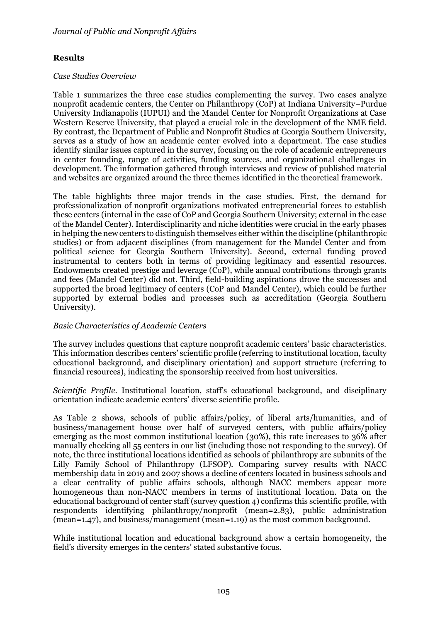# **Results**

#### *Case Studies Overview*

Table 1 summarizes the three case studies complementing the survey. Two cases analyze nonprofit academic centers, the Center on Philanthropy (CoP) at Indiana University–Purdue University Indianapolis (IUPUI) and the Mandel Center for Nonprofit Organizations at Case Western Reserve University, that played a crucial role in the development of the NME field. By contrast, the Department of Public and Nonprofit Studies at Georgia Southern University, serves as a study of how an academic center evolved into a department. The case studies identify similar issues captured in the survey, focusing on the role of academic entrepreneurs in center founding, range of activities, funding sources, and organizational challenges in development. The information gathered through interviews and review of published material and websites are organized around the three themes identified in the theoretical framework.

The table highlights three major trends in the case studies. First, the demand for professionalization of nonprofit organizations motivated entrepreneurial forces to establish these centers (internal in the case of CoP and Georgia Southern University; external in the case of the Mandel Center). Interdisciplinarity and niche identities were crucial in the early phases in helping the new centers to distinguish themselves either within the discipline (philanthropic studies) or from adjacent disciplines (from management for the Mandel Center and from political science for Georgia Southern University). Second, external funding proved instrumental to centers both in terms of providing legitimacy and essential resources. Endowments created prestige and leverage (CoP), while annual contributions through grants and fees (Mandel Center) did not. Third, field-building aspirations drove the successes and supported the broad legitimacy of centers (CoP and Mandel Center), which could be further supported by external bodies and processes such as accreditation (Georgia Southern University).

# *Basic Characteristics of Academic Centers*

The survey includes questions that capture nonprofit academic centers' basic characteristics. This information describes centers' scientific profile (referring to institutional location, faculty educational background, and disciplinary orientation) and support structure (referring to financial resources), indicating the sponsorship received from host universities.

*Scientific Profile*. Institutional location, staff's educational background, and disciplinary orientation indicate academic centers' diverse scientific profile.

As Table 2 shows, schools of public affairs/policy, of liberal arts/humanities, and of business/management house over half of surveyed centers, with public affairs/policy emerging as the most common institutional location (30%), this rate increases to 36% after manually checking all 55 centers in our list (including those not responding to the survey). Of note, the three institutional locations identified as schools of philanthropy are subunits of the Lilly Family School of Philanthropy (LFSOP). Comparing survey results with NACC membership data in 2019 and 2007 shows a decline of centers located in business schools and a clear centrality of public affairs schools, although NACC members appear more homogeneous than non-NACC members in terms of institutional location. Data on the educational background of center staff (survey question 4) confirms this scientific profile, with respondents identifying philanthropy/nonprofit (mean=2.83), public administration (mean=1.47), and business/management (mean=1.19) as the most common background.

While institutional location and educational background show a certain homogeneity, the field's diversity emerges in the centers' stated substantive focus.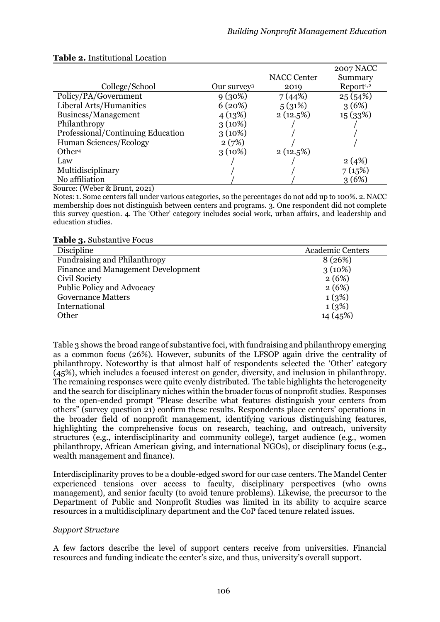|                                                                        |                         |                    | <b>2007 NACC</b>      |
|------------------------------------------------------------------------|-------------------------|--------------------|-----------------------|
|                                                                        |                         | <b>NACC Center</b> | Summary               |
| College/School                                                         | Our survey <sup>3</sup> | 2019               | Report <sup>1,2</sup> |
| Policy/PA/Government                                                   | $9(30\%)$               | 7(44%)             | 25(54%)               |
| Liberal Arts/Humanities                                                | 6(20%)                  | 5(31%)             | 3(6%)                 |
| Business/Management                                                    | 4(13%)                  | 2(12.5%)           | 15(33%)               |
| Philanthropy                                                           | $3(10\%)$               |                    |                       |
| Professional/Continuing Education                                      | $3(10\%)$               |                    |                       |
| Human Sciences/Ecology                                                 | 2(7%)                   |                    |                       |
| Other <sup>4</sup>                                                     | $3(10\%)$               | 2(12.5%)           |                       |
| Law                                                                    |                         |                    | 2(4%)                 |
| Multidisciplinary                                                      |                         |                    | 7(15%)                |
| No affiliation                                                         |                         |                    | 3(6%)                 |
| $\alpha$ $(\mathbf{r} \cdot \mathbf{r} + \mathbf{r} \cdot \mathbf{r})$ |                         |                    |                       |

# **Table 2.** Institutional Location

Source: (Weber & Brunt, 2021)

Notes: 1. Some centers fall under various categories, so the percentages do not add up to 100%. 2. NACC membership does not distinguish between centers and programs. 3. One respondent did not complete this survey question. 4. The 'Other' category includes social work, urban affairs, and leadership and education studies.

#### **Table 3.** Substantive Focus

| ້                                   |                         |
|-------------------------------------|-------------------------|
| Discipline                          | <b>Academic Centers</b> |
| <b>Fundraising and Philanthropy</b> | 8(26%)                  |
| Finance and Management Development  | $3(10\%)$               |
| Civil Society                       | 2(6%)                   |
| Public Policy and Advocacy          | 2(6%)                   |
| <b>Governance Matters</b>           | 1(3%)                   |
| International                       | 1(3%)                   |
| Other                               | 14 (45%)                |

Table 3 shows the broad range of substantive foci, with fundraising and philanthropy emerging as a common focus (26%). However, subunits of the LFSOP again drive the centrality of philanthropy. Noteworthy is that almost half of respondents selected the 'Other' category (45%), which includes a focused interest on gender, diversity, and inclusion in philanthropy. The remaining responses were quite evenly distributed. The table highlights the heterogeneity and the search for disciplinary niches within the broader focus of nonprofit studies. Responses to the open-ended prompt "Please describe what features distinguish your centers from others" (survey question 21) confirm these results. Respondents place centers' operations in the broader field of nonprofit management, identifying various distinguishing features, highlighting the comprehensive focus on research, teaching, and outreach, university structures (e.g., interdisciplinarity and community college), target audience (e.g., women philanthropy, African American giving, and international NGOs), or disciplinary focus (e.g., wealth management and finance).

Interdisciplinarity proves to be a double-edged sword for our case centers. The Mandel Center experienced tensions over access to faculty, disciplinary perspectives (who owns management), and senior faculty (to avoid tenure problems). Likewise, the precursor to the Department of Public and Nonprofit Studies was limited in its ability to acquire scarce resources in a multidisciplinary department and the CoP faced tenure related issues.

# *Support Structure*

A few factors describe the level of support centers receive from universities. Financial resources and funding indicate the center's size, and thus, university's overall support.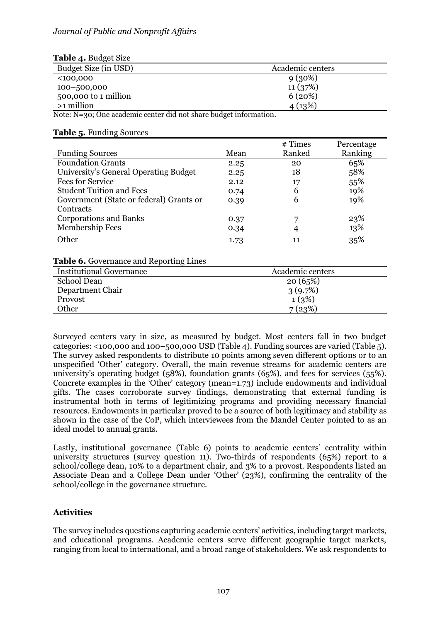# *Journal of Public and Nonprofit Affairs*

| <b>Table 4. Budget Size</b>                                       |                  |
|-------------------------------------------------------------------|------------------|
| Budget Size (in USD)                                              | Academic centers |
| $100,000$                                                         | 9(30%)           |
| $100 - 500,000$                                                   | 11(37%)          |
| 500,000 to 1 million                                              | 6(20%)           |
| $>1$ million                                                      | 4(13%)           |
| Note: N=30; One academic center did not share budget information. |                  |

### **Table 5.** Funding Sources

|                                         |      | $#$ Times | Percentage |
|-----------------------------------------|------|-----------|------------|
| <b>Funding Sources</b>                  | Mean | Ranked    | Ranking    |
| <b>Foundation Grants</b>                | 2.25 | 20        | 65%        |
| University's General Operating Budget   | 2.25 | 18        | 58%        |
| <b>Fees for Service</b>                 | 2.12 | 17        | 55%        |
| <b>Student Tuition and Fees</b>         | 0.74 | 6         | 19%        |
| Government (State or federal) Grants or | 0.39 | 6         | 19%        |
| Contracts                               |      |           |            |
| <b>Corporations and Banks</b>           | 0.37 | 7         | 23%        |
| Membership Fees                         | 0.34 | 4         | 13%        |
| Other                                   | 1.73 | 11        | 35%        |

#### **Table 6.** Governance and Reporting Lines

| <b>Institutional Governance</b> | Academic centers |
|---------------------------------|------------------|
| School Dean                     | 20(65%)          |
| Department Chair                | 3(9.7%)          |
| Provost                         | 1(3%)            |
| Other                           | 7(23%)           |

Surveyed centers vary in size, as measured by budget. Most centers fall in two budget categories: <100,000 and 100–500,000 USD (Table 4). Funding sources are varied (Table 5). The survey asked respondents to distribute 10 points among seven different options or to an unspecified 'Other' category. Overall, the main revenue streams for academic centers are university's operating budget (58%), foundation grants (65%), and fees for services (55%). Concrete examples in the 'Other' category (mean=1.73) include endowments and individual gifts. The cases corroborate survey findings, demonstrating that external funding is instrumental both in terms of legitimizing programs and providing necessary financial resources. Endowments in particular proved to be a source of both legitimacy and stability as shown in the case of the CoP, which interviewees from the Mandel Center pointed to as an ideal model to annual grants.

Lastly, institutional governance (Table 6) points to academic centers' centrality within university structures (survey question 11). Two-thirds of respondents (65%) report to a school/college dean, 10% to a department chair, and 3% to a provost. Respondents listed an Associate Dean and a College Dean under 'Other' (23%), confirming the centrality of the school/college in the governance structure.

# **Activities**

The survey includes questions capturing academic centers' activities, including target markets, and educational programs. Academic centers serve different geographic target markets, ranging from local to international, and a broad range of stakeholders. We ask respondents to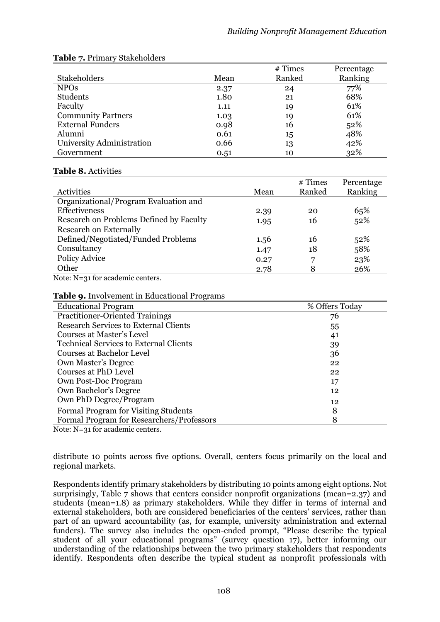|                           |      | # Times | Percentage |
|---------------------------|------|---------|------------|
| <b>Stakeholders</b>       | Mean | Ranked  | Ranking    |
| <b>NPOs</b>               | 2.37 | 24      | 77%        |
| Students                  | 1.80 | 21      | 68%        |
| Faculty                   | 1.11 | 19      | 61%        |
| <b>Community Partners</b> | 1.03 | 19      | 61%        |
| <b>External Funders</b>   | 0.98 | 16      | 52%        |
| Alumni                    | 0.61 | 15      | 48%        |
| University Administration | 0.66 | 13      | 42%        |
| Government                | 0.51 | 10      | 32%        |

# **Table 7.** Primary Stakeholders

# **Table 8.** Activities

|      | $#$ Times | Percentage<br>Ranking |
|------|-----------|-----------------------|
|      |           |                       |
| 2.39 | 20        | 65%                   |
| 1.95 | 16        | 52%                   |
|      |           |                       |
| 1.56 | 16        | 52%                   |
| 1.47 | 18        | 58%                   |
| 0.27 | 7         | 23%                   |
| 2.78 | 8         | 26%                   |
|      | Mean      | Ranked                |

Note: N=31 for academic centers.

# **Table 9.** Involvement in Educational Programs

| % Offers Today |
|----------------|
| 76             |
| 55             |
| 41             |
| 39             |
| 36             |
| 22             |
| 22             |
| 17             |
| 12             |
| 12             |
| 8              |
| 8              |
|                |

Note: N=31 for academic centers.

distribute 10 points across five options. Overall, centers focus primarily on the local and regional markets.

Respondents identify primary stakeholders by distributing 10 points among eight options. Not surprisingly, Table 7 shows that centers consider nonprofit organizations (mean=2.37) and students (mean=1.8) as primary stakeholders. While they differ in terms of internal and external stakeholders, both are considered beneficiaries of the centers' services, rather than part of an upward accountability (as, for example, university administration and external funders). The survey also includes the open-ended prompt, "Please describe the typical student of all your educational programs" (survey question 17), better informing our understanding of the relationships between the two primary stakeholders that respondents identify. Respondents often describe the typical student as nonprofit professionals with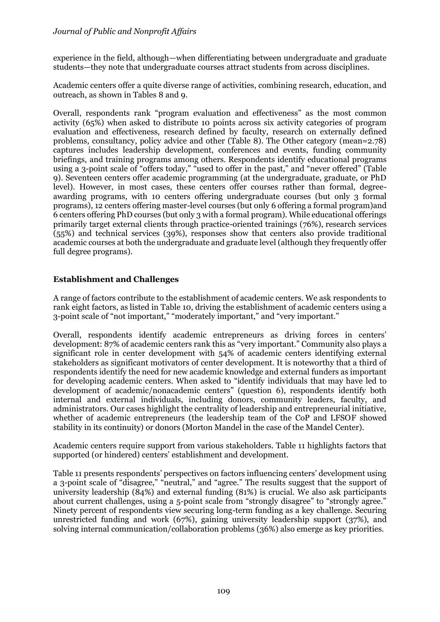# *Journal of Public and Nonprofit Affairs*

experience in the field, although—when differentiating between undergraduate and graduate students—they note that undergraduate courses attract students from across disciplines.

Academic centers offer a quite diverse range of activities, combining research, education, and outreach, as shown in Tables 8 and 9.

Overall, respondents rank "program evaluation and effectiveness" as the most common activity (65%) when asked to distribute 10 points across six activity categories of program evaluation and effectiveness, research defined by faculty, research on externally defined problems, consultancy, policy advice and other (Table 8). The Other category (mean=2.78) captures includes leadership development, conferences and events, funding community briefings, and training programs among others. Respondents identify educational programs using a 3-point scale of "offers today," "used to offer in the past," and "never offered" (Table 9). Seventeen centers offer academic programming (at the undergraduate, graduate, or PhD level). However, in most cases, these centers offer courses rather than formal, degreeawarding programs, with 10 centers offering undergraduate courses (but only 3 formal programs), 12 centers offering master-level courses (but only 6 offering a formal program)and 6 centers offering PhD courses (but only 3 with a formal program). While educational offerings primarily target external clients through practice-oriented trainings (76%), research services (55%) and technical services (39%), responses show that centers also provide traditional academic courses at both the undergraduate and graduate level (although they frequently offer full degree programs).

# **Establishment and Challenges**

A range of factors contribute to the establishment of academic centers. We ask respondents to rank eight factors, as listed in Table 10, driving the establishment of academic centers using a 3-point scale of "not important," "moderately important," and "very important."

Overall, respondents identify academic entrepreneurs as driving forces in centers' development: 87% of academic centers rank this as "very important." Community also plays a significant role in center development with 54% of academic centers identifying external stakeholders as significant motivators of center development. It is noteworthy that a third of respondents identify the need for new academic knowledge and external funders as important for developing academic centers. When asked to "identify individuals that may have led to development of academic/nonacademic centers" (question 6), respondents identify both internal and external individuals, including donors, community leaders, faculty, and administrators. Our cases highlight the centrality of leadership and entrepreneurial initiative, whether of academic entrepreneurs (the leadership team of the CoP and LFSOF showed stability in its continuity) or donors (Morton Mandel in the case of the Mandel Center).

Academic centers require support from various stakeholders. Table 11 highlights factors that supported (or hindered) centers' establishment and development.

Table 11 presents respondents' perspectives on factors influencing centers' development using a 3-point scale of "disagree," "neutral," and "agree." The results suggest that the support of university leadership (84%) and external funding (81%) is crucial. We also ask participants about current challenges, using a 5-point scale from "strongly disagree" to "strongly agree." Ninety percent of respondents view securing long-term funding as a key challenge. Securing unrestricted funding and work (67%), gaining university leadership support (37%), and solving internal communication/collaboration problems (36%) also emerge as key priorities.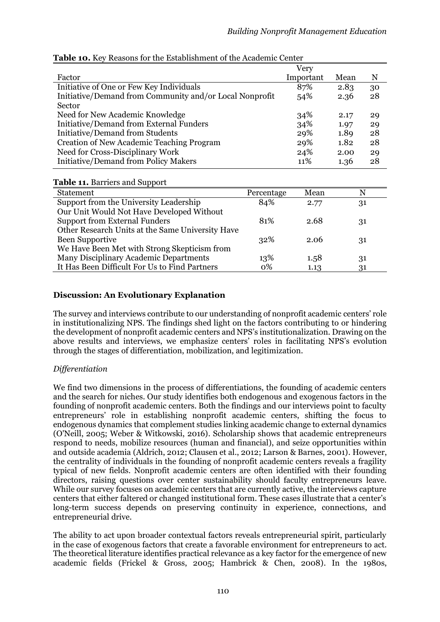|                                                         |            | Very      |      |    |
|---------------------------------------------------------|------------|-----------|------|----|
| Factor                                                  |            | Important | Mean | N  |
| Initiative of One or Few Key Individuals                |            | 87%       | 2.83 | 30 |
| Initiative/Demand from Community and/or Local Nonprofit |            | 54%       | 2.36 | 28 |
| Sector                                                  |            |           |      |    |
| Need for New Academic Knowledge                         |            | 34%       | 2.17 | 29 |
| <b>Initiative/Demand from External Funders</b>          |            | 34%       | 1.97 | 29 |
| Initiative/Demand from Students                         |            | 29%       | 1.89 | 28 |
| Creation of New Academic Teaching Program               |            | 29%       | 1.82 | 28 |
| Need for Cross-Disciplinary Work                        |            | 24%       | 2.00 | 29 |
| <b>Initiative/Demand from Policy Makers</b>             |            | 11%       | 1.36 | 28 |
|                                                         |            |           |      |    |
| <b>Table 11. Barriers and Support</b>                   |            |           |      |    |
| <b>Statement</b>                                        | Percentage | Mean      |      | N  |
| Support from the University Leadership                  | 84%        | 2.77      |      | 31 |
| Our Unit Would Not Have Developed Without               |            |           |      |    |
| <b>Support from External Funders</b>                    | 81%        | 2.68      |      | 31 |
| Other Research Units at the Same University Have        |            |           |      |    |
| <b>Been Supportive</b>                                  | 32%        | 2.06      |      | 31 |
| We Have Been Met with Strong Skepticism from            |            |           |      |    |
| Many Disciplinary Academic Departments                  | 13%        | 1.58      |      | 31 |

#### **Table 10.** Key Reasons for the Establishment of the Academic Center

# **Discussion: An Evolutionary Explanation**

The survey and interviews contribute to our understanding of nonprofit academic centers' role in institutionalizing NPS. The findings shed light on the factors contributing to or hindering the development of nonprofit academic centers and NPS's institutionalization. Drawing on the above results and interviews, we emphasize centers' roles in facilitating NPS's evolution through the stages of differentiation, mobilization, and legitimization.

It Has Been Difficult For Us to Find Partners 0% 1.13 31

# *Differentiation*

We find two dimensions in the process of differentiations, the founding of academic centers and the search for niches. Our study identifies both endogenous and exogenous factors in the founding of nonprofit academic centers. Both the findings and our interviews point to faculty entrepreneurs' role in establishing nonprofit academic centers, shifting the focus to endogenous dynamics that complement studies linking academic change to external dynamics (O'Neill, 2005; Weber & Witkowski, 2016). Scholarship shows that academic entrepreneurs respond to needs, mobilize resources (human and financial), and seize opportunities within and outside academia (Aldrich, 2012; Clausen et al., 2012; Larson & Barnes, 2001). However, the centrality of individuals in the founding of nonprofit academic centers reveals a fragility typical of new fields. Nonprofit academic centers are often identified with their founding directors, raising questions over center sustainability should faculty entrepreneurs leave. While our survey focuses on academic centers that are currently active, the interviews capture centers that either faltered or changed institutional form. These cases illustrate that a center's long-term success depends on preserving continuity in experience, connections, and entrepreneurial drive.

The ability to act upon broader contextual factors reveals entrepreneurial spirit, particularly in the case of exogenous factors that create a favorable environment for entrepreneurs to act. The theoretical literature identifies practical relevance as a key factor for the emergence of new academic fields (Frickel & Gross, 2005; Hambrick & Chen, 2008). In the 1980s,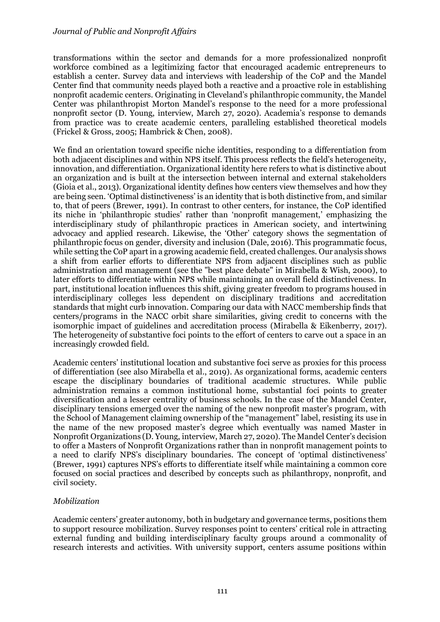transformations within the sector and demands for a more professionalized nonprofit workforce combined as a legitimizing factor that encouraged academic entrepreneurs to establish a center. Survey data and interviews with leadership of the CoP and the Mandel Center find that community needs played both a reactive and a proactive role in establishing nonprofit academic centers. Originating in Cleveland's philanthropic community, the Mandel Center was philanthropist Morton Mandel's response to the need for a more professional nonprofit sector (D. Young, interview, March 27, 2020). Academia's response to demands from practice was to create academic centers, paralleling established theoretical models (Frickel & Gross, 2005; Hambrick & Chen, 2008).

We find an orientation toward specific niche identities, responding to a differentiation from both adjacent disciplines and within NPS itself. This process reflects the field's heterogeneity, innovation, and differentiation. Organizational identity here refers to what is distinctive about an organization and is built at the intersection between internal and external stakeholders (Gioia et al., 2013). Organizational identity defines how centers view themselves and how they are being seen. 'Optimal distinctiveness' is an identity that is both distinctive from, and similar to, that of peers (Brewer, 1991). In contrast to other centers, for instance, the CoP identified its niche in 'philanthropic studies' rather than 'nonprofit management,' emphasizing the interdisciplinary study of philanthropic practices in American society, and intertwining advocacy and applied research. Likewise, the 'Other' category shows the segmentation of philanthropic focus on gender, diversity and inclusion (Dale, 2016). This programmatic focus, while setting the CoP apart in a growing academic field, created challenges. Our analysis shows a shift from earlier efforts to differentiate NPS from adjacent disciplines such as public administration and management (see the "best place debate" in Mirabella & Wish, 2000), to later efforts to differentiate within NPS while maintaining an overall field distinctiveness. In part, institutional location influences this shift, giving greater freedom to programs housed in interdisciplinary colleges less dependent on disciplinary traditions and accreditation standards that might curb innovation. Comparing our data with NACC membership finds that centers/programs in the NACC orbit share similarities, giving credit to concerns with the isomorphic impact of guidelines and accreditation process (Mirabella & Eikenberry, 2017). The heterogeneity of substantive foci points to the effort of centers to carve out a space in an increasingly crowded field.

Academic centers' institutional location and substantive foci serve as proxies for this process of differentiation (see also Mirabella et al., 2019). As organizational forms, academic centers escape the disciplinary boundaries of traditional academic structures. While public administration remains a common institutional home, substantial foci points to greater diversification and a lesser centrality of business schools. In the case of the Mandel Center, disciplinary tensions emerged over the naming of the new nonprofit master's program, with the School of Management claiming ownership of the "management" label, resisting its use in the name of the new proposed master's degree which eventually was named Master in Nonprofit Organizations (D. Young, interview, March 27, 2020). The Mandel Center's decision to offer a Masters of Nonprofit Organizations rather than in nonprofit management points to a need to clarify NPS's disciplinary boundaries. The concept of 'optimal distinctiveness' (Brewer, 1991) captures NPS's efforts to differentiate itself while maintaining a common core focused on social practices and described by concepts such as philanthropy, nonprofit, and civil society.

# *Mobilization*

Academic centers' greater autonomy, both in budgetary and governance terms, positions them to support resource mobilization. Survey responses point to centers' critical role in attracting external funding and building interdisciplinary faculty groups around a commonality of research interests and activities. With university support, centers assume positions within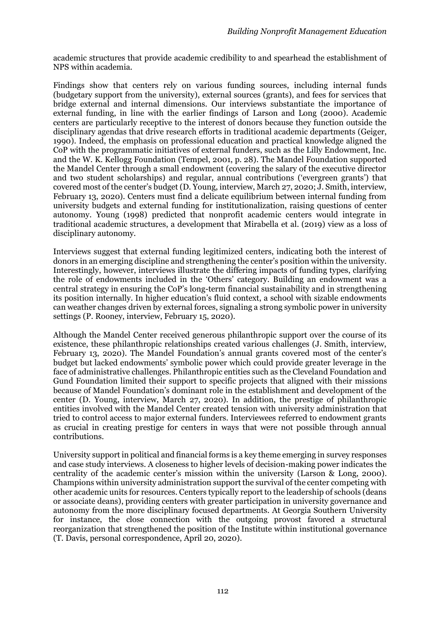academic structures that provide academic credibility to and spearhead the establishment of NPS within academia.

Findings show that centers rely on various funding sources, including internal funds (budgetary support from the university), external sources (grants), and fees for services that bridge external and internal dimensions. Our interviews substantiate the importance of external funding, in line with the earlier findings of Larson and Long (2000). Academic centers are particularly receptive to the interest of donors because they function outside the disciplinary agendas that drive research efforts in traditional academic departments (Geiger, 1990). Indeed, the emphasis on professional education and practical knowledge aligned the CoP with the programmatic initiatives of external funders, such as the Lilly Endowment, Inc. and the W. K. Kellogg Foundation (Tempel, 2001, p. 28). The Mandel Foundation supported the Mandel Center through a small endowment (covering the salary of the executive director and two student scholarships) and regular, annual contributions ('evergreen grants') that covered most of the center's budget (D. Young, interview, March 27, 2020; J. Smith, interview, February 13, 2020). Centers must find a delicate equilibrium between internal funding from university budgets and external funding for institutionalization, raising questions of center autonomy. Young (1998) predicted that nonprofit academic centers would integrate in traditional academic structures, a development that Mirabella et al. (2019) view as a loss of disciplinary autonomy.

Interviews suggest that external funding legitimized centers, indicating both the interest of donors in an emerging discipline and strengthening the center's position within the university. Interestingly, however, interviews illustrate the differing impacts of funding types, clarifying the role of endowments included in the 'Others' category. Building an endowment was a central strategy in ensuring the CoP's long-term financial sustainability and in strengthening its position internally. In higher education's fluid context, a school with sizable endowments can weather changes driven by external forces, signaling a strong symbolic power in university settings (P. Rooney, interview, February 15, 2020).

Although the Mandel Center received generous philanthropic support over the course of its existence, these philanthropic relationships created various challenges (J. Smith, interview, February 13, 2020). The Mandel Foundation's annual grants covered most of the center's budget but lacked endowments' symbolic power which could provide greater leverage in the face of administrative challenges. Philanthropic entities such as the Cleveland Foundation and Gund Foundation limited their support to specific projects that aligned with their missions because of Mandel Foundation's dominant role in the establishment and development of the center (D. Young, interview, March 27, 2020). In addition, the prestige of philanthropic entities involved with the Mandel Center created tension with university administration that tried to control access to major external funders. Interviewees referred to endowment grants as crucial in creating prestige for centers in ways that were not possible through annual contributions.

University support in political and financial forms is a key theme emerging in survey responses and case study interviews. A closeness to higher levels of decision-making power indicates the centrality of the academic center's mission within the university (Larson & Long, 2000). Champions within university administration support the survival of the center competing with other academic units for resources. Centers typically report to the leadership of schools (deans or associate deans), providing centers with greater participation in university governance and autonomy from the more disciplinary focused departments. At Georgia Southern University for instance, the close connection with the outgoing provost favored a structural reorganization that strengthened the position of the Institute within institutional governance (T. Davis, personal correspondence, April 20, 2020).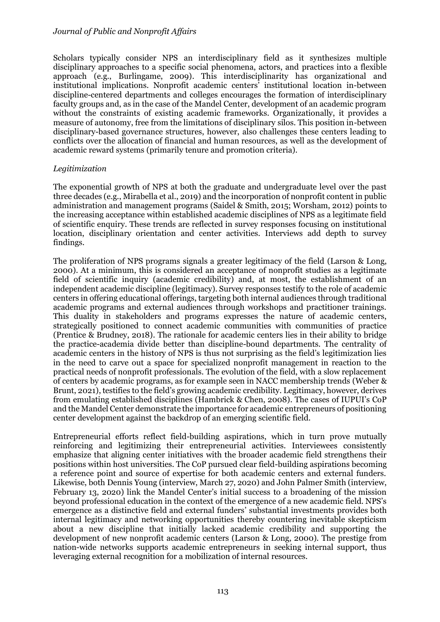Scholars typically consider NPS an interdisciplinary field as it synthesizes multiple disciplinary approaches to a specific social phenomena, actors, and practices into a flexible approach (e.g., Burlingame, 2009). This interdisciplinarity has organizational and institutional implications. Nonprofit academic centers' institutional location in-between discipline-centered departments and colleges encourages the formation of interdisciplinary faculty groups and, as in the case of the Mandel Center, development of an academic program without the constraints of existing academic frameworks. Organizationally, it provides a measure of autonomy, free from the limitations of disciplinary silos. This position in-between disciplinary-based governance structures, however, also challenges these centers leading to conflicts over the allocation of financial and human resources, as well as the development of academic reward systems (primarily tenure and promotion criteria).

# *Legitimization*

The exponential growth of NPS at both the graduate and undergraduate level over the past three decades (e.g., Mirabella et al., 2019) and the incorporation of nonprofit content in public administration and management programs (Saidel & Smith, 2015; Worsham, 2012) points to the increasing acceptance within established academic disciplines of NPS as a legitimate field of scientific enquiry. These trends are reflected in survey responses focusing on institutional location, disciplinary orientation and center activities. Interviews add depth to survey findings.

The proliferation of NPS programs signals a greater legitimacy of the field (Larson & Long, 2000). At a minimum, this is considered an acceptance of nonprofit studies as a legitimate field of scientific inquiry (academic credibility) and, at most, the establishment of an independent academic discipline (legitimacy). Survey responses testify to the role of academic centers in offering educational offerings, targeting both internal audiences through traditional academic programs and external audiences through workshops and practitioner trainings. This duality in stakeholders and programs expresses the nature of academic centers, strategically positioned to connect academic communities with communities of practice (Prentice & Brudney, 2018). The rationale for academic centers lies in their ability to bridge the practice-academia divide better than discipline-bound departments. The centrality of academic centers in the history of NPS is thus not surprising as the field's legitimization lies in the need to carve out a space for specialized nonprofit management in reaction to the practical needs of nonprofit professionals. The evolution of the field, with a slow replacement of centers by academic programs, as for example seen in NACC membership trends (Weber & Brunt, 2021), testifies to the field's growing academic credibility. Legitimacy, however, derives from emulating established disciplines (Hambrick & Chen, 2008). The cases of IUPUI's CoP and the Mandel Center demonstrate the importance for academic entrepreneurs of positioning center development against the backdrop of an emerging scientific field.

Entrepreneurial efforts reflect field-building aspirations, which in turn prove mutually reinforcing and legitimizing their entrepreneurial activities. Interviewees consistently emphasize that aligning center initiatives with the broader academic field strengthens their positions within host universities. The CoP pursued clear field-building aspirations becoming a reference point and source of expertise for both academic centers and external funders. Likewise, both Dennis Young (interview, March 27, 2020) and John Palmer Smith (interview, February 13, 2020) link the Mandel Center's initial success to a broadening of the mission beyond professional education in the context of the emergence of a new academic field. NPS's emergence as a distinctive field and external funders' substantial investments provides both internal legitimacy and networking opportunities thereby countering inevitable skepticism about a new discipline that initially lacked academic credibility and supporting the development of new nonprofit academic centers (Larson & Long, 2000). The prestige from nation-wide networks supports academic entrepreneurs in seeking internal support, thus leveraging external recognition for a mobilization of internal resources.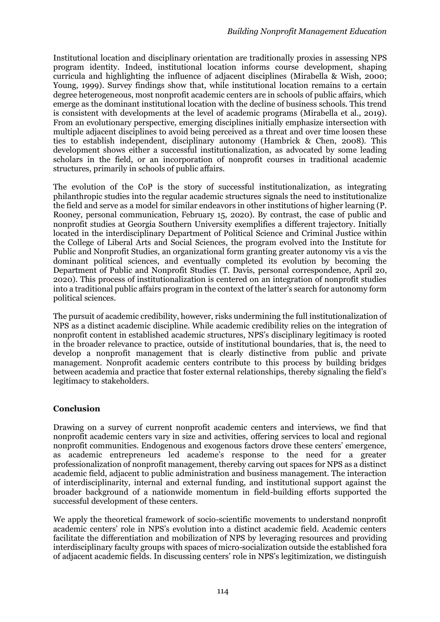Institutional location and disciplinary orientation are traditionally proxies in assessing NPS program identity. Indeed, institutional location informs course development, shaping curricula and highlighting the influence of adjacent disciplines (Mirabella & Wish, 2000; Young, 1999). Survey findings show that, while institutional location remains to a certain degree heterogeneous, most nonprofit academic centers are in schools of public affairs, which emerge as the dominant institutional location with the decline of business schools. This trend is consistent with developments at the level of academic programs (Mirabella et al., 2019). From an evolutionary perspective, emerging disciplines initially emphasize intersection with multiple adjacent disciplines to avoid being perceived as a threat and over time loosen these ties to establish independent, disciplinary autonomy (Hambrick & Chen, 2008). This development shows either a successful institutionalization, as advocated by some leading scholars in the field, or an incorporation of nonprofit courses in traditional academic structures, primarily in schools of public affairs.

The evolution of the CoP is the story of successful institutionalization, as integrating philanthropic studies into the regular academic structures signals the need to institutionalize the field and serve as a model for similar endeavors in other institutions of higher learning (P. Rooney, personal communication, February 15, 2020). By contrast, the case of public and nonprofit studies at Georgia Southern University exemplifies a different trajectory. Initially located in the interdisciplinary Department of Political Science and Criminal Justice within the College of Liberal Arts and Social Sciences, the program evolved into the Institute for Public and Nonprofit Studies, an organizational form granting greater autonomy vis a vis the dominant political sciences, and eventually completed its evolution by becoming the Department of Public and Nonprofit Studies (T. Davis, personal correspondence, April 20, 2020). This process of institutionalization is centered on an integration of nonprofit studies into a traditional public affairs program in the context of the latter's search for autonomy form political sciences.

The pursuit of academic credibility, however, risks undermining the full institutionalization of NPS as a distinct academic discipline. While academic credibility relies on the integration of nonprofit content in established academic structures, NPS's disciplinary legitimacy is rooted in the broader relevance to practice, outside of institutional boundaries, that is, the need to develop a nonprofit management that is clearly distinctive from public and private management. Nonprofit academic centers contribute to this process by building bridges between academia and practice that foster external relationships, thereby signaling the field's legitimacy to stakeholders.

# **Conclusion**

Drawing on a survey of current nonprofit academic centers and interviews, we find that nonprofit academic centers vary in size and activities, offering services to local and regional nonprofit communities. Endogenous and exogenous factors drove these centers' emergence, as academic entrepreneurs led academe's response to the need for a greater professionalization of nonprofit management, thereby carving out spaces for NPS as a distinct academic field, adjacent to public administration and business management. The interaction of interdisciplinarity, internal and external funding, and institutional support against the broader background of a nationwide momentum in field-building efforts supported the successful development of these centers.

We apply the theoretical framework of socio-scientific movements to understand nonprofit academic centers' role in NPS's evolution into a distinct academic field. Academic centers facilitate the differentiation and mobilization of NPS by leveraging resources and providing interdisciplinary faculty groups with spaces of micro-socialization outside the established fora of adjacent academic fields. In discussing centers' role in NPS's legitimization, we distinguish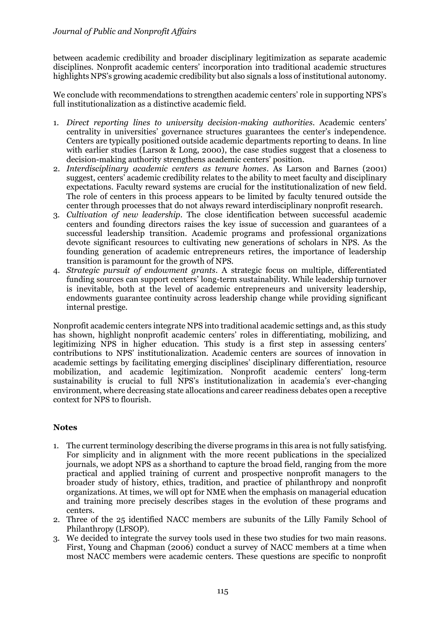between academic credibility and broader disciplinary legitimization as separate academic disciplines. Nonprofit academic centers' incorporation into traditional academic structures highlights NPS's growing academic credibility but also signals a loss of institutional autonomy.

We conclude with recommendations to strengthen academic centers' role in supporting NPS's full institutionalization as a distinctive academic field.

- 1. *Direct reporting lines to university decision-making authorities*. Academic centers' centrality in universities' governance structures guarantees the center's independence. Centers are typically positioned outside academic departments reporting to deans. In line with earlier studies (Larson & Long, 2000), the case studies suggest that a closeness to decision-making authority strengthens academic centers' position.
- 2. *Interdisciplinary academic centers as tenure homes*. As Larson and Barnes (2001) suggest, centers' academic credibility relates to the ability to meet faculty and disciplinary expectations. Faculty reward systems are crucial for the institutionalization of new field. The role of centers in this process appears to be limited by faculty tenured outside the center through processes that do not always reward interdisciplinary nonprofit research.
- 3. *Cultivation of new leadership*. The close identification between successful academic centers and founding directors raises the key issue of succession and guarantees of a successful leadership transition. Academic programs and professional organizations devote significant resources to cultivating new generations of scholars in NPS. As the founding generation of academic entrepreneurs retires, the importance of leadership transition is paramount for the growth of NPS.
- 4. *Strategic pursuit of endowment grants*. A strategic focus on multiple, differentiated funding sources can support centers' long-term sustainability. While leadership turnover is inevitable, both at the level of academic entrepreneurs and university leadership, endowments guarantee continuity across leadership change while providing significant internal prestige.

Nonprofit academic centers integrate NPS into traditional academic settings and, as this study has shown, highlight nonprofit academic centers' roles in differentiating, mobilizing, and legitimizing NPS in higher education. This study is a first step in assessing centers' contributions to NPS' institutionalization. Academic centers are sources of innovation in academic settings by facilitating emerging disciplines' disciplinary differentiation, resource mobilization, and academic legitimization. Nonprofit academic centers' long-term sustainability is crucial to full NPS's institutionalization in academia's ever-changing environment, where decreasing state allocations and career readiness debates open a receptive context for NPS to flourish.

# **Notes**

- 1. The current terminology describing the diverse programs in this area is not fully satisfying. For simplicity and in alignment with the more recent publications in the specialized journals, we adopt NPS as a shorthand to capture the broad field, ranging from the more practical and applied training of current and prospective nonprofit managers to the broader study of history, ethics, tradition, and practice of philanthropy and nonprofit organizations. At times, we will opt for NME when the emphasis on managerial education and training more precisely describes stages in the evolution of these programs and centers.
- 2. Three of the 25 identified NACC members are subunits of the Lilly Family School of Philanthropy (LFSOP).
- 3. We decided to integrate the survey tools used in these two studies for two main reasons. First, Young and Chapman (2006) conduct a survey of NACC members at a time when most NACC members were academic centers. These questions are specific to nonprofit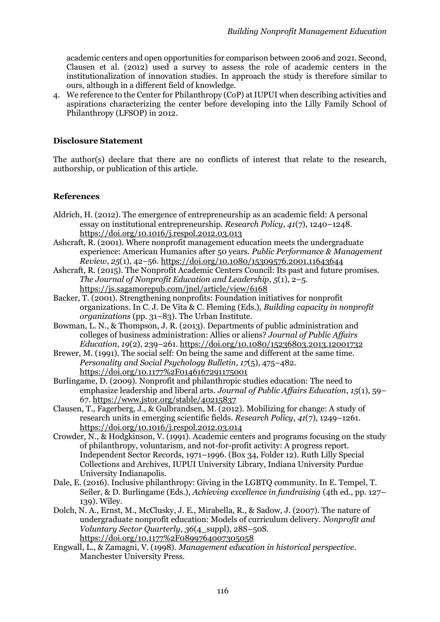academic centers and open opportunities for comparison between 2006 and 2021. Second, Clausen et al. (2012) used a survey to assess the role of academic centers in the institutionalization of innovation studies. In approach the study is therefore similar to ours, although in a different field of knowledge.

4. We reference to the Center for Philanthropy (CoP) at IUPUI when describing activities and aspirations characterizing the center before developing into the Lilly Family School of Philanthropy (LFSOP) in 2012.

# **Disclosure Statement**

The author(s) declare that there are no conflicts of interest that relate to the research, authorship, or publication of this article.

# **References**

- Aldrich, H. (2012). The emergence of entrepreneurship as an academic field: A personal essay on institutional entrepreneurship. *Research Policy*, *41*(7), 1240–1248. https://doi.org/10.1016/j.respol.2012.03.013
- Ashcraft, R. (2001). Where nonprofit management education meets the undergraduate experience: American Humanics after 50 years. *Public Performance & Management Review*, *25*(1), 42–56. https://doi.org/10.1080/15309576.2001.11643644
- Ashcraft, R. (2015). The Nonprofit Academic Centers Council: Its past and future promises. *The Journal of Nonprofit Education and Leadership*, *5*(1), 2–5. https://js.sagamorepub.com/jnel/article/view/6168
- Backer, T. (2001). Strengthening nonprofits: Foundation initiatives for nonprofit organizations. In C. J. De Vita & C. Fleming (Eds.), *Building capacity in nonprofit organizations* (pp. 31–83). The Urban Institute.
- Bowman, L. N., & Thompson, J. R. (2013). Departments of public administration and colleges of business administration: Allies or aliens? *Journal of Public Affairs Education*, *19*(2), 239–261. https://doi.org/10.1080/15236803.2013.12001732
- Brewer, M. (1991). The social self: On being the same and different at the same time. *Personality and Social Psychology Bulletin*, *17*(5), 475–482. https://doi.org/10.1177%2F0146167291175001
- Burlingame, D. (2009). Nonprofit and philanthropic studies education: The need to emphasize leadership and liberal arts. *Journal of Public Affairs Education*, *15*(1), 59– 67. https://www.jstor.org/stable/40215837
- Clausen, T., Fagerberg, J., & Gulbrandsen, M. (2012). Mobilizing for change: A study of research units in emerging scientific fields. *Research Policy*, *41*(7), 1249–1261. https://doi.org/10.1016/j.respol.2012.03.014
- Crowder, N., & Hodgkinson, V. (1991). Academic centers and programs focusing on the study of philanthropy, voluntarism, and not-for-profit activity: A progress report. Independent Sector Records, 1971–1996. (Box 34, Folder 12). Ruth Lilly Special Collections and Archives, IUPUI University Library, Indiana University Purdue University Indianapolis.
- Dale, E. (2016). Inclusive philanthropy: Giving in the LGBTQ community. In E. Tempel, T. Seiler, & D. Burlingame (Eds.), *Achieving excellence in fundraising* (4th ed., pp. 127– 139). Wiley.
- Dolch, N. A., Ernst, M., McClusky, J. E., Mirabella, R., & Sadow, J. (2007). The nature of undergraduate nonprofit education: Models of curriculum delivery. *Nonprofit and Voluntary Sector Quarterly*, *36*(4\_suppl), 28S–50S. https://doi.org/10.1177%2F0899764007305058
- Engwall, L., & Zamagni, V. (1998). *Management education in historical perspective*. Manchester University Press.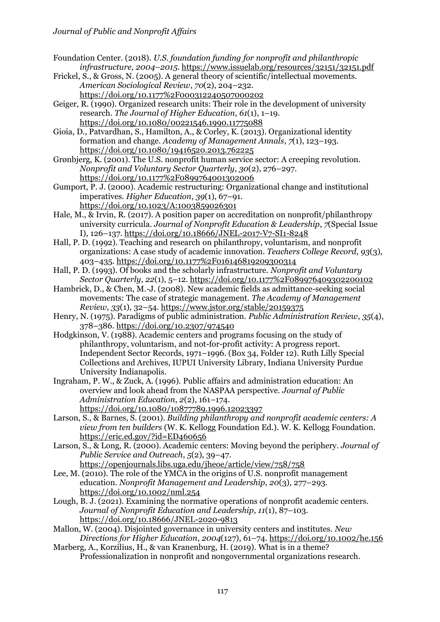Foundation Center. (2018). *U.S. foundation funding for nonprofit and philanthropic infrastructure, 2004–2015*. https://www.issuelab.org/resources/32151/32151.pdf

Frickel, S., & Gross, N. (2005). A general theory of scientific/intellectual movements. *American Sociological Review*, *70*(2), 204–232. https://doi.org/10.1177%2F000312240507000202

Geiger, R. (1990). Organized research units: Their role in the development of university research. *The Journal of Higher Education*, *61*(1), 1–19. https://doi.org/10.1080/00221546.1990.11775088

Gioia, D., Patvardhan, S., Hamilton, A., & Corley, K. (2013). Organizational identity formation and change. *Academy of Management Annals*, *7*(1), 123–193. https://doi.org/10.1080/19416520.2013.762225

Grønbjerg, K. (2001). The U.S. nonprofit human service sector: A creeping revolution. *Nonprofit and Voluntary Sector Quarterly*, *30*(2), 276–297. https://doi.org/10.1177%2F0899764001302006

Gumport, P. J. (2000). Academic restructuring: Organizational change and institutional imperatives. *Higher Education*, *39*(1), 67–91. https://doi.org/10.1023/A:1003859026301

Hale, M., & Irvin, R. (2017). A position paper on accreditation on nonprofit/philanthropy university curricula. *Journal of Nonprofit Education & Leadership*, *7*(Special Issue I), 126–137. https://doi.org/10.18666/JNEL-2017-V7-SI1-8248

Hall, P. D. (1992). Teaching and research on philanthropy, voluntarism, and nonprofit organizations: A case study of academic innovation. *Teachers College Record*, *93*(3), 403–435. https://doi.org/10.1177%2F016146819209300314

Hall, P. D. (1993). Of books and the scholarly infrastructure. *Nonprofit and Voluntary Sector Quarterly*, *22*(1), 5–12. https://doi.org/10.1177%2F089976409302200102

Hambrick, D., & Chen, M.-J. (2008). New academic fields as admittance-seeking social movements: The case of strategic management. *The Academy of Management Review*, *33*(1), 32–54. https://www.jstor.org/stable/20159375

Henry, N. (1975). Paradigms of public administration. *Public Administration Review*, *35*(4), 378–386. https://doi.org/10.2307/974540

Hodgkinson, V. (1988). Academic centers and programs focusing on the study of philanthropy, voluntarism, and not-for-profit activity: A progress report. Independent Sector Records, 1971–1996. (Box 34, Folder 12). Ruth Lilly Special Collections and Archives, IUPUI University Library, Indiana University Purdue University Indianapolis.

Ingraham, P. W., & Zuck, A. (1996). Public affairs and administration education: An overview and look ahead from the NASPAA perspective. *Journal of Public Administration Education*, *2*(2), 161–174. https://doi.org/10.1080/10877789.1996.12023397

Larson, S., & Barnes, S. (2001). *Building philanthropy and nonprofit academic centers: A view from ten builders* (W. K. Kellogg Foundation Ed.). W. K. Kellogg Foundation. <https://eric.ed.gov/?id=ED460656>

Larson, S., & Long, R. (2000). Academic centers: Moving beyond the periphery. *Journal of Public Service and Outreach*, *5*(2), 39–47. https://openjournals.libs.uga.edu/jheoe/article/view/758/758

Lee, M. (2010). The role of the YMCA in the origins of U.S. nonprofit management education. *Nonprofit Management and Leadership*, *20*(3), 277–293. https://doi.org/10.1002/nml.254

Lough, B. J. (2021). Examining the normative operations of nonprofit academic centers. *Journal of Nonprofit Education and Leadership*, *11*(1), 87–103. https://doi.org/10.18666/JNEL-2020-9813

Mallon, W. (2004). Disjointed governance in university centers and institutes. *New Directions for Higher Education*, *2004*(127), 61–74. https://doi.org/10.1002/he.156

Marberg, A., Korzilius, H., & van Kranenburg, H. (2019). What is in a theme? Professionalization in nonprofit and nongovernmental organizations research.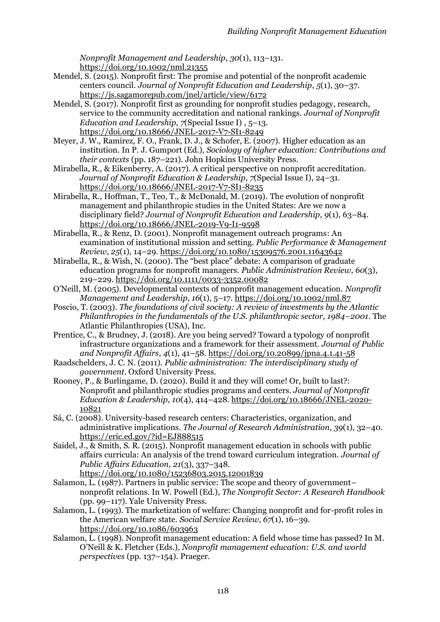*Nonprofit Management and Leadership*, *30*(1), 113–131. https://doi.org/10.1002/nml.21355

- Mendel, S. (2015). Nonprofit first: The promise and potential of the nonprofit academic centers council. *Journal of Nonprofit Education and Leadership*, *5*(1), 30–37. https://js.sagamorepub.com/jnel/article/view/6172
- Mendel, S. (2017). Nonprofit first as grounding for nonprofit studies pedagogy, research, service to the community accreditation and national rankings. *Journal of Nonprofit Education and Leadership*, *7*(Special Issue I) , 5–13. https://doi.org/10.18666/JNEL-2017-V7-SI1-8249
- Meyer, J. W., Ramirez, F. O., Frank, D. J., & Schofer, E. (2007). Higher education as an institution. In P. J. Gumport (Ed.), *Sociology of higher education: Contributions and their contexts* (pp. 187–221). John Hopkins University Press.
- Mirabella, R., & Eikenberry, A. (2017). A critical perspective on nonprofit accreditation. *Journal of Nonprofit Education & Leadership*, *7*(Special Issue I), 24–31. https://doi.org/10.18666/JNEL-2017-V7-SI1-8235
- Mirabella, R., Hoffman, T., Teo, T., & McDonald, M. (2019). The evolution of nonprofit management and philanthropic studies in the United States: Are we now a disciplinary field? *Journal of Nonprofit Education and Leadership*, *9*(1), 63–84. https://doi.org/10.18666/JNEL-2019-V9-I1-9598
- Mirabella, R., & Renz, D. (2001). Nonprofit management outreach programs: An examination of institutional mission and setting. *Public Performance & Management Review*, *25*(1), 14–29. https://doi.org/10.1080/15309576.2001.11643642
- Mirabella, R., & Wish, N. (2000). The "best place" debate: A comparison of graduate education programs for nonprofit managers. *Public Administration Review*, *60*(3), 219–229. https://doi.org/10.1111/0033-3352.00082
- O'Neill, M. (2005). Developmental contexts of nonprofit management education. *Nonprofit Management and Leadership*, *16*(1), 5–17. https://doi.org/10.1002/nml.87
- Poscio, T. (2003). *The foundations of civil society: A review of investments by the Atlantic Philanthropies in the fundamentals of the U.S. philanthropic sector, 1984–2001*. The Atlantic Philanthropies (USA), Inc.
- Prentice, C., & Brudney, J. (2018). Are you being served? Toward a typology of nonprofit infrastructure organizations and a framework for their assessment. *Journal of Public and Nonprofit Affairs*, *4*(1), 41–58. https://doi.org/10.20899/jpna.4.1.41-58
- Raadschelders, J. C. N. (2011). *Public administration: The interdisciplinary study of government*. Oxford University Press.
- Rooney, P., & Burlingame, D. (2020). Build it and they will come! Or, built to last?: Nonprofit and philanthropic studies programs and centers. *Journal of Nonprofit Education & Leadership*, *10*(4), 414–428. https://doi.org/10.18666/JNEL-2020- 10821
- Sá, C. (2008). University-based research centers: Characteristics, organization, and administrative implications. *The Journal of Research Administration*, *39*(1), 32–40. https://eric.ed.gov/?id=EJ888515
- Saidel, J., & Smith, S. R. (2015). Nonprofit management education in schools with public affairs curricula: An analysis of the trend toward curriculum integration. *Journal of Public Affairs Education*, *21*(3), 337–348. https://doi.org/10.1080/15236803.2015.12001839
- Salamon, L. (1987). Partners in public service: The scope and theory of government– nonprofit relations. In W. Powell (Ed.), *The Nonprofit Sector: A Research Handbook* (pp. 99–117). Yale University Press.
- Salamon, L. (1993). The marketization of welfare: Changing nonprofit and for-profit roles in the American welfare state. *Social Service Review*, *67*(1), 16–39. https://doi.org/10.1086/603963
- Salamon, L. (1998). Nonprofit management education: A field whose time has passed? In M. O'Neill & K. Fletcher (Eds.), *Nonprofit management education: U.S. and world perspectives* (pp. 137–154). Praeger.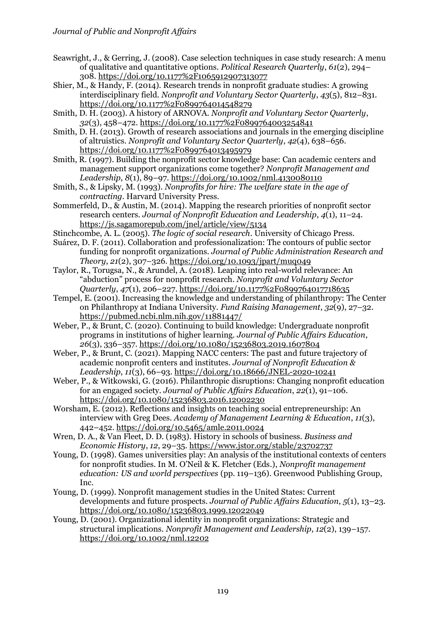Seawright, J., & Gerring, J. (2008). Case selection techniques in case study research: A menu of qualitative and quantitative options. *Political Research Quarterly*, *61*(2), 294– 308. https://doi.org/10.1177%2F1065912907313077

Shier, M., & Handy, F. (2014). Research trends in nonprofit graduate studies: A growing interdisciplinary field. *Nonprofit and Voluntary Sector Quarterly*, *43*(5), 812–831. https://doi.org/10.1177%2F0899764014548279

Smith, D. H. (2003). A history of ARNOVA. *Nonprofit and Voluntary Sector Quarterly*, *32*(3), 458–472. https://doi.org/10.1177%2F0899764003254841

Smith, D. H. (2013). Growth of research associations and journals in the emerging discipline of altruistics. *Nonprofit and Voluntary Sector Quarterly*, *42*(4), 638–656. https://doi.org/10.1177%2F0899764013495979

Smith, R. (1997). Building the nonprofit sector knowledge base: Can academic centers and management support organizations come together? *Nonprofit Management and Leadership*, *8*(1), 89–97. https://doi.org/10.1002/nml.4130080110

Smith, S., & Lipsky, M. (1993). *Nonprofits for hire: The welfare state in the age of contracting*. Harvard University Press.

Sommerfeld, D., & Austin, M. (2014). Mapping the research priorities of nonprofit sector research centers. *Journal of Nonprofit Education and Leadership*, *4*(1), 11–24. https://js.sagamorepub.com/jnel/article/view/5134

Stinchcombe, A. L. (2005). *The logic of social research*. University of Chicago Press.

Suárez, D. F. (2011). Collaboration and professionalization: The contours of public sector funding for nonprofit organizations. *Journal of Public Administration Research and Theory*, *21*(2), 307–326. https://doi.org/10.1093/jpart/muq049

Taylor, R., Torugsa, N., & Arundel, A. (2018). Leaping into real-world relevance: An "abduction" process for nonprofit research. *Nonprofit and Voluntary Sector Quarterly*, *47*(1), 206–227. https://doi.org/10.1177%2F0899764017718635

Tempel, E. (2001). Increasing the knowledge and understanding of philanthropy: The Center on Philanthropy at Indiana University. *Fund Raising Management*, *32*(9), 27–32. https://pubmed.ncbi.nlm.nih.gov/11881447/

Weber, P., & Brunt, C. (2020). Continuing to build knowledge: Undergraduate nonprofit programs in institutions of higher learning. *Journal of Public Affairs Education*, *26*(3), 336–357. https://doi.org/10.1080/15236803.2019.1607804

Weber, P., & Brunt, C. (2021). Mapping NACC centers: The past and future trajectory of academic nonprofit centers and institutes. *Journal of Nonprofit Education & Leadership*, *11*(3), 66–93. https://doi.org/10.18666/JNEL-2020-10241

Weber, P., & Witkowski, G. (2016). Philanthropic disruptions: Changing nonprofit education for an engaged society. *Journal of Public Affairs Education*, *22*(1), 91–106. https://doi.org/10.1080/15236803.2016.12002230

Worsham, E. (2012). Reflections and insights on teaching social entrepreneurship: An interview with Greg Dees. *Academy of Management Learning & Education*, *11*(3), 442–452. https://doi.org/10.5465/amle.2011.0024

Wren, D. A., & Van Fleet, D. D. (1983). History in schools of business. *Business and Economic History*, *12*, 29–35. https://www.jstor.org/stable/23702737

Young, D. (1998). Games universities play: An analysis of the institutional contexts of centers for nonprofit studies. In M. O'Neil & K. Fletcher (Eds.), *Nonprofit management education: US and world perspectives* (pp. 119–136). Greenwood Publishing Group, Inc.

Young, D. (1999). Nonprofit management studies in the United States: Current developments and future prospects. *Journal of Public Affairs Education*, *5*(1), 13–23. https://doi.org/10.1080/15236803.1999.12022049

Young, D. (2001). Organizational identity in nonprofit organizations: Strategic and structural implications. *Nonprofit Management and Leadership*, *12*(2), 139–157. https://doi.org/10.1002/nml.12202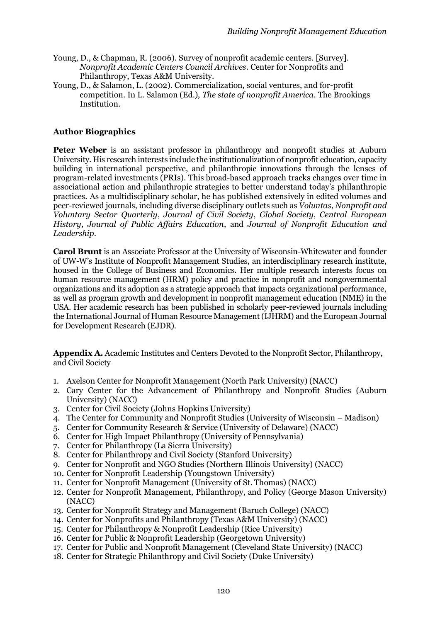- Young, D., & Chapman, R. (2006). Survey of nonprofit academic centers. [Survey]. *Nonprofit Academic Centers Council Archives*. Center for Nonprofits and Philanthropy, Texas A&M University.
- Young, D., & Salamon, L. (2002). Commercialization, social ventures, and for-profit competition. In L. Salamon (Ed.), *The state of nonprofit America*. The Brookings Institution.

# **Author Biographies**

**Peter Weber** is an assistant professor in philanthropy and nonprofit studies at Auburn University. His research interests include the institutionalization of nonprofit education, capacity building in international perspective, and philanthropic innovations through the lenses of program-related investments (PRIs). This broad-based approach tracks changes over time in associational action and philanthropic strategies to better understand today's philanthropic practices. As a multidisciplinary scholar, he has published extensively in edited volumes and peer-reviewed journals, including diverse disciplinary outlets such as *Voluntas*, *Nonprofit and Voluntary Sector Quarterly*, *Journal of Civil Society*, *Global Society*, *Central European History*, *Journal of Public Affairs Education*, and *Journal of Nonprofit Education and Leadership*.

**Carol Brunt** is an Associate Professor at the University of Wisconsin-Whitewater and founder of UW-W's Institute of Nonprofit Management Studies, an interdisciplinary research institute, housed in the College of Business and Economics. Her multiple research interests focus on human resource management (HRM) policy and practice in nonprofit and nongovernmental organizations and its adoption as a strategic approach that impacts organizational performance, as well as program growth and development in nonprofit management education (NME) in the USA. Her academic research has been published in scholarly peer-reviewed journals including the International Journal of Human Resource Management (IJHRM) and the European Journal for Development Research (EJDR).

**Appendix A.** Academic Institutes and Centers Devoted to the Nonprofit Sector, Philanthropy, and Civil Society

- 1. Axelson Center for Nonprofit Management (North Park University) (NACC)
- 2. Cary Center for the Advancement of Philanthropy and Nonprofit Studies (Auburn University) (NACC)
- 3. Center for Civil Society (Johns Hopkins University)
- 4. The Center for Community and Nonprofit Studies (University of Wisconsin Madison)
- 5. Center for Community Research & Service (University of Delaware) (NACC)
- 6. Center for High Impact Philanthropy (University of Pennsylvania)
- 7. Center for Philanthropy (La Sierra University)
- 8. Center for Philanthropy and Civil Society (Stanford University)
- 9. Center for Nonprofit and NGO Studies (Northern Illinois University) (NACC)
- 10. Center for Nonprofit Leadership (Youngstown University)
- 11. Center for Nonprofit Management (University of St. Thomas) (NACC)
- 12. Center for Nonprofit Management, Philanthropy, and Policy (George Mason University) (NACC)
- 13. Center for Nonprofit Strategy and Management (Baruch College) (NACC)
- 14. Center for Nonprofits and Philanthropy (Texas A&M University) (NACC)
- 15. Center for Philanthropy & Nonprofit Leadership (Rice University)
- 16. Center for Public & Nonprofit Leadership (Georgetown University)
- 17. Center for Public and Nonprofit Management (Cleveland State University) (NACC)
- 18. Center for Strategic Philanthropy and Civil Society (Duke University)